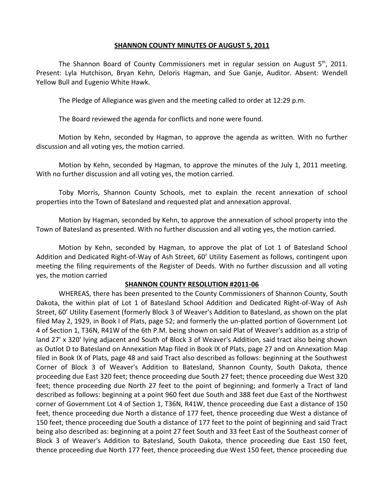## **SHANNON COUNTY MINUTES OF AUGUST 5, 2011**

The Shannon Board of County Commissioners met in regular session on August  $5<sup>th</sup>$ , 2011. Present: Lyla Hutchison, Bryan Kehn, Deloris Hagman, and Sue Ganje, Auditor. Absent: Wendell Yellow Bull and Eugenio White Hawk.

The Pledge of Allegiance was given and the meeting called to order at 12:29 p.m.

The Board reviewed the agenda for conflicts and none were found.

Motion by Kehn, seconded by Hagman, to approve the agenda as written. With no further discussion and all voting yes, the motion carried.

Motion by Kehn, seconded by Hagman, to approve the minutes of the July 1, 2011 meeting. With no further discussion and all voting yes, the motion carried.

Toby Morris, Shannon County Schools, met to explain the recent annexation of school properties into the Town of Batesland and requested plat and annexation approval.

Motion by Hagman, seconded by Kehn, to approve the annexation of school property into the Town of Batesland as presented. With no further discussion and all voting yes, the motion carried.

Motion by Kehn, seconded by Hagman, to approve the plat of Lot 1 of Batesland School Addition and Dedicated Right-of-Way of Ash Street, 60' Utility Easement as follows, contingent upon meeting the filing requirements of the Register of Deeds. With no further discussion and all voting yes, the motion carried

## **SHANNON COUNTY RESOLUTION #2011-06**

WHEREAS, there has been presented to the County Commissioners of Shannon County, South Dakota, the within plat of Lot 1 of Batesland School Addition and Dedicated Right-of-Way of Ash Street, 60' Utility Easement (formerly Block 3 of Weaver's Addition to Batesland, as shown on the plat filed May 2, 1929, in Book I of Plats, page 52; and formerly the un-platted portion of Government Lot 4 of Section 1, T36N, R41W of the 6th P.M. being shown on said Plat of Weaver's addition as a strip of land 27' x 320' lying adjacent and South of Block 3 of Weaver's Addition, said tract also being shown as Outlot D to Batesland on Annexation Map filed in Book IX of Plats, page 27 and on Annexation Map filed in Book IX of Plats, page 48 and said Tract also described as follows: beginning at the Southwest Corner of Block 3 of Weaver's Addition to Batesland, Shannon County, South Dakota, thence proceeding due East 320 feet; thence proceeding due South 27 feet; thence proceeding due West 320 feet; thence proceeding due North 27 feet to the point of beginning; and formerly a Tract of land described as follows: beginning at a point 960 feet due South and 388 feet due East of the Northwest corner of Government Lot 4 of Section 1, T36N, R41W, thence proceeding due East a distance of 150 feet, thence proceeding due North a distance of 177 feet, thence proceeding due West a distance of 150 feet, thence proceeding due South a distance of 177 feet to the point of beginning and said Tract being also described as: beginning at a point 27 feet South and 33 feet East of the Southeast corner of Block 3 of Weaver's Addition to Batesland, South Dakota, thence proceeding due East 150 feet, thence proceeding due North 177 feet, thence proceeding due West 150 feet, thence proceeding due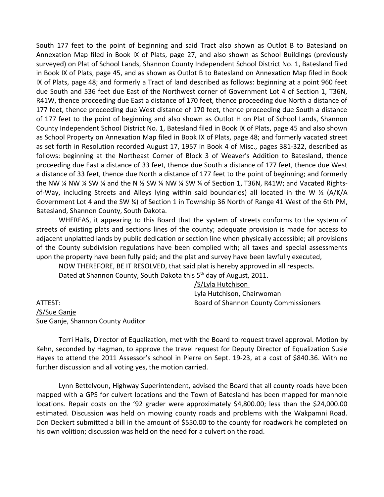South 177 feet to the point of beginning and said Tract also shown as Outlot B to Batesland on Annexation Map filed in Book IX of Plats, page 27, and also shown as School Buildings (previously surveyed) on Plat of School Lands, Shannon County Independent School District No. 1, Batesland filed in Book IX of Plats, page 45, and as shown as Outlot B to Batesland on Annexation Map filed in Book IX of Plats, page 48; and formerly a Tract of land described as follows: beginning at a point 960 feet due South and 536 feet due East of the Northwest corner of Government Lot 4 of Section 1, T36N, R41W, thence proceeding due East a distance of 170 feet, thence proceeding due North a distance of 177 feet, thence proceeding due West distance of 170 feet, thence proceeding due South a distance of 177 feet to the point of beginning and also shown as Outlot H on Plat of School Lands, Shannon County Independent School District No. 1, Batesland filed in Book IX of Plats, page 45 and also shown as School Property on Annexation Map filed in Book IX of Plats, page 48; and formerly vacated street as set forth in Resolution recorded August 17, 1957 in Book 4 of Misc., pages 381-322, described as follows: beginning at the Northeast Corner of Block 3 of Weaver's Addition to Batesland, thence proceeding due East a distance of 33 feet, thence due South a distance of 177 feet, thence due West a distance of 33 feet, thence due North a distance of 177 feet to the point of beginning; and formerly the NW  $\frac{1}{4}$  NW  $\frac{1}{4}$  SW  $\frac{1}{4}$  and the N  $\frac{1}{2}$  SW  $\frac{1}{4}$  NW  $\frac{1}{4}$  SW  $\frac{1}{4}$  of Section 1, T36N, R41W; and Vacated Rightsof-Way, including Streets and Alleys lying within said boundaries) all located in the W ½ (A/K/A Government Lot 4 and the SW ¼) of Section 1 in Township 36 North of Range 41 West of the 6th PM, Batesland, Shannon County, South Dakota.

WHEREAS, it appearing to this Board that the system of streets conforms to the system of streets of existing plats and sections lines of the county; adequate provision is made for access to adjacent unplatted lands by public dedication or section line when physically accessible; all provisions of the County subdivision regulations have been complied with; all taxes and special assessments upon the property have been fully paid; and the plat and survey have been lawfully executed,

NOW THEREFORE, BE IT RESOLVED, that said plat is hereby approved in all respects. Dated at Shannon County, South Dakota this 5<sup>th</sup> day of August, 2011.

/S/Lyla Hutchison Lyla Hutchison, Chairwoman ATTEST: Board of Shannon County Commissioners

/S/Sue Ganje Sue Ganje, Shannon County Auditor

Terri Halls, Director of Equalization, met with the Board to request travel approval. Motion by Kehn, seconded by Hagman, to approve the travel request for Deputy Director of Equalization Susie Hayes to attend the 2011 Assessor's school in Pierre on Sept. 19-23, at a cost of \$840.36. With no further discussion and all voting yes, the motion carried.

Lynn Bettelyoun, Highway Superintendent, advised the Board that all county roads have been mapped with a GPS for culvert locations and the Town of Batesland has been mapped for manhole locations. Repair costs on the '92 grader were approximately \$4,800.00; less than the \$24,000.00 estimated. Discussion was held on mowing county roads and problems with the Wakpamni Road. Don Deckert submitted a bill in the amount of \$550.00 to the county for roadwork he completed on his own volition; discussion was held on the need for a culvert on the road.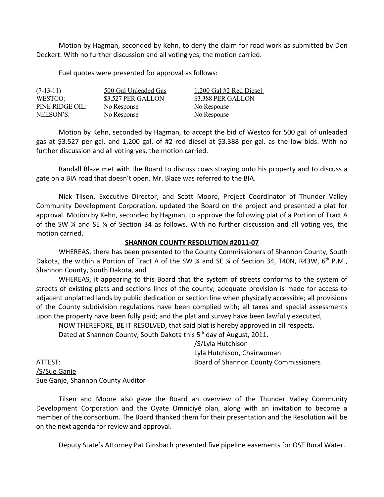Motion by Hagman, seconded by Kehn, to deny the claim for road work as submitted by Don Deckert. With no further discussion and all voting yes, the motion carried.

Fuel quotes were presented for approval as follows:

 $(7-13-11)$  500 Gal Unleaded Gas  $1,200$  Gal  $\#2$  Red Diesel WESTCO: \$3.527 PER GALLON \$3.388 PER GALLON PINE RIDGE OIL: No Response No Response NELSON'S: No Response No Response

Motion by Kehn, seconded by Hagman, to accept the bid of Westco for 500 gal. of unleaded gas at \$3.527 per gal. and 1,200 gal. of #2 red diesel at \$3.388 per gal. as the low bids. With no further discussion and all voting yes, the motion carried.

Randall Blaze met with the Board to discuss cows straying onto his property and to discuss a gate on a BIA road that doesn't open. Mr. Blaze was referred to the BIA.

Nick Tilsen, Executive Director, and Scott Moore, Project Coordinator of Thunder Valley Community Development Corporation, updated the Board on the project and presented a plat for approval. Motion by Kehn, seconded by Hagman, to approve the following plat of a Portion of Tract A of the SW ¼ and SE ¼ of Section 34 as follows. With no further discussion and all voting yes, the motion carried.

## **SHANNON COUNTY RESOLUTION #2011-07**

WHEREAS, there has been presented to the County Commissioners of Shannon County, South Dakota, the within a Portion of Tract A of the SW  $\frac{1}{4}$  and SE  $\frac{1}{4}$  of Section 34, T40N, R43W, 6<sup>th</sup> P.M., Shannon County, South Dakota, and

WHEREAS, it appearing to this Board that the system of streets conforms to the system of streets of existing plats and sections lines of the county; adequate provision is made for access to adjacent unplatted lands by public dedication or section line when physically accessible; all provisions of the County subdivision regulations have been complied with; all taxes and special assessments upon the property have been fully paid; and the plat and survey have been lawfully executed,

NOW THEREFORE, BE IT RESOLVED, that said plat is hereby approved in all respects. Dated at Shannon County, South Dakota this 5<sup>th</sup> day of August, 2011.

/S/Lyla Hutchison

Lyla Hutchison, Chairwoman ATTEST: Board of Shannon County Commissioners

/S/Sue Ganje Sue Ganje, Shannon County Auditor

Tilsen and Moore also gave the Board an overview of the Thunder Valley Community Development Corporation and the Oyate Omniciyé plan, along with an invitation to become a member of the consortium. The Board thanked them for their presentation and the Resolution will be on the next agenda for review and approval.

Deputy State's Attorney Pat Ginsbach presented five pipeline easements for OST Rural Water.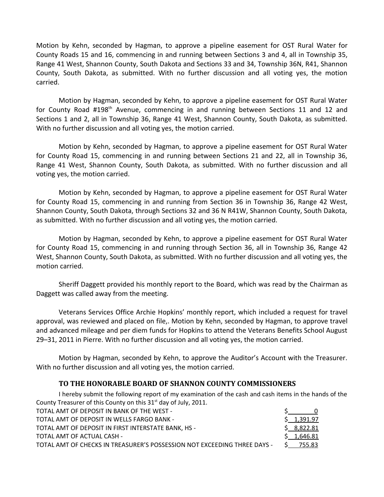Motion by Kehn, seconded by Hagman, to approve a pipeline easement for OST Rural Water for County Roads 15 and 16, commencing in and running between Sections 3 and 4, all in Township 35, Range 41 West, Shannon County, South Dakota and Sections 33 and 34, Township 36N, R41, Shannon County, South Dakota, as submitted. With no further discussion and all voting yes, the motion carried.

Motion by Hagman, seconded by Kehn, to approve a pipeline easement for OST Rural Water for County Road #198<sup>th</sup> Avenue, commencing in and running between Sections 11 and 12 and Sections 1 and 2, all in Township 36, Range 41 West, Shannon County, South Dakota, as submitted. With no further discussion and all voting yes, the motion carried.

Motion by Kehn, seconded by Hagman, to approve a pipeline easement for OST Rural Water for County Road 15, commencing in and running between Sections 21 and 22, all in Township 36, Range 41 West, Shannon County, South Dakota, as submitted. With no further discussion and all voting yes, the motion carried.

Motion by Kehn, seconded by Hagman, to approve a pipeline easement for OST Rural Water for County Road 15, commencing in and running from Section 36 in Township 36, Range 42 West, Shannon County, South Dakota, through Sections 32 and 36 N R41W, Shannon County, South Dakota, as submitted. With no further discussion and all voting yes, the motion carried.

Motion by Hagman, seconded by Kehn, to approve a pipeline easement for OST Rural Water for County Road 15, commencing in and running through Section 36, all in Township 36, Range 42 West, Shannon County, South Dakota, as submitted. With no further discussion and all voting yes, the motion carried.

Sheriff Daggett provided his monthly report to the Board, which was read by the Chairman as Daggett was called away from the meeting.

Veterans Services Office Archie Hopkins' monthly report, which included a request for travel approval, was reviewed and placed on file,. Motion by Kehn, seconded by Hagman, to approve travel and advanced mileage and per diem funds for Hopkins to attend the Veterans Benefits School August 29–31, 2011 in Pierre. With no further discussion and all voting yes, the motion carried.

 Motion by Hagman, seconded by Kehn, to approve the Auditor's Account with the Treasurer. With no further discussion and all voting yes, the motion carried.

## **TO THE HONORABLE BOARD OF SHANNON COUNTY COMMISSIONERS**

I hereby submit the following report of my examination of the cash and cash items in the hands of the County Treasurer of this County on this  $31<sup>st</sup>$  day of July, 2011. TOTAL AMT OF DEPOSIT IN BANK OF THE WEST - THE SECOND CONTROL TO THE SECOND CONTROL OF STATE OF STATE OF STATE O TOTAL AMT OF DEPOSIT IN WELLS FARGO BANK -  $$1,391.97$ TOTAL AMT OF DEPOSIT IN FIRST INTERSTATE BANK, HS -  $$8,822.81$ TOTAL AMT OF ACTUAL CASH -  $\lesssim 1,646.81$ TOTAL AMT OF CHECKS IN TREASURER'S POSSESSION NOT EXCEEDING THREE DAYS - \$ 755.83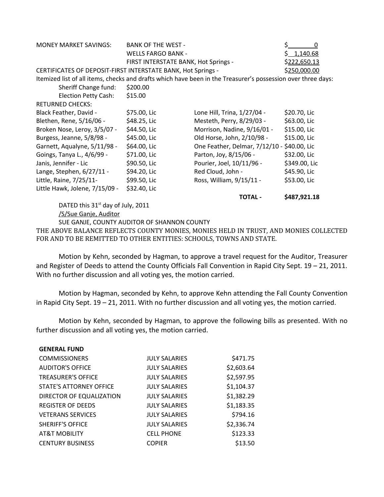| <b>MONEY MARKET SAVINGS:</b>                                                                                 | <b>BANK OF THE WEST -</b>            |                                             | 0             |  |  |
|--------------------------------------------------------------------------------------------------------------|--------------------------------------|---------------------------------------------|---------------|--|--|
|                                                                                                              | <b>WELLS FARGO BANK -</b>            |                                             | \$1,140.68    |  |  |
|                                                                                                              | FIRST INTERSTATE BANK, Hot Springs - |                                             | \$222,650.13  |  |  |
| CERTIFICATES OF DEPOSIT-FIRST INTERSTATE BANK, Hot Springs -                                                 |                                      | \$250,000.00                                |               |  |  |
| Itemized list of all items, checks and drafts which have been in the Treasurer's possession over three days: |                                      |                                             |               |  |  |
| Sheriff Change fund:                                                                                         | \$200.00                             |                                             |               |  |  |
| <b>Election Petty Cash:</b>                                                                                  | \$15.00                              |                                             |               |  |  |
| <b>RETURNED CHECKS:</b>                                                                                      |                                      |                                             |               |  |  |
| Black Feather, David -                                                                                       | \$75.00, Lic                         | Lone Hill, Trina, 1/27/04 -                 | \$20.70, Lic  |  |  |
| Blethen, Rene, 5/16/06 -                                                                                     | \$48.25, Lic                         | Mesteth, Perry, 8/29/03 -                   | \$63.00, Lic  |  |  |
| Broken Nose, Leroy, 3/5/07 -                                                                                 | \$44.50, Lic                         | Morrison, Nadine, 9/16/01 -                 | \$15.00, Lic  |  |  |
| Burgess, Jeanne, 5/8/98 -                                                                                    | \$45.00, Lic                         | Old Horse, John, 2/10/98 -                  | \$15.00, Lic  |  |  |
| Garnett, Aqualyne, 5/11/98 -                                                                                 | \$64.00, Lic                         | One Feather, Delmar, 7/12/10 - \$40.00, Lic |               |  |  |
| Goings, Tanya L., 4/6/99 -                                                                                   | \$71.00, Lic                         | Parton, Joy, 8/15/06 -                      | \$32.00, Lic  |  |  |
| Janis, Jennifer - Lic                                                                                        | \$90.50, Lic                         | Pourier, Joel, 10/11/96 -                   | \$349.00, Lic |  |  |
| Lange, Stephen, 6/27/11 -                                                                                    | \$94.20, Lic                         | Red Cloud, John -                           | \$45.90, Lic  |  |  |
| Little, Raine, 7/25/11-                                                                                      | \$99.50, Lic                         | Ross, William, 9/15/11 -                    | \$53.00, Lic  |  |  |
| Little Hawk, Jolene, 7/15/09 -                                                                               | \$32.40, Lic                         |                                             |               |  |  |

DATED this 31<sup>st</sup> day of July, 2011 /S/Sue Ganje, Auditor SUE GANJE, COUNTY AUDITOR OF SHANNON COUNTY THE ABOVE BALANCE REFLECTS COUNTY MONIES, MONIES HELD IN TRUST, AND MONIES COLLECTED FOR AND TO BE REMITTED TO OTHER ENTITIES: SCHOOLS, TOWNS AND STATE.

**TOTAL - \$487,921.18**

Motion by Kehn, seconded by Hagman, to approve a travel request for the Auditor, Treasurer and Register of Deeds to attend the County Officials Fall Convention in Rapid City Sept. 19 – 21, 2011. With no further discussion and all voting yes, the motion carried.

Motion by Hagman, seconded by Kehn, to approve Kehn attending the Fall County Convention in Rapid City Sept. 19 – 21, 2011. With no further discussion and all voting yes, the motion carried.

Motion by Kehn, seconded by Hagman, to approve the following bills as presented. With no further discussion and all voting yes, the motion carried.

| <b>GENERAL FUND</b>       |                      |            |
|---------------------------|----------------------|------------|
| <b>COMMISSIONERS</b>      | <b>JULY SALARIES</b> | \$471.75   |
| <b>AUDITOR'S OFFICE</b>   | <b>JULY SALARIES</b> | \$2,603.64 |
| <b>TREASURER'S OFFICE</b> | <b>JULY SALARIES</b> | \$2,597.95 |
| STATE'S ATTORNEY OFFICE   | <b>JULY SALARIES</b> | \$1,104.37 |
| DIRECTOR OF EQUALIZATION  | <b>JULY SALARIES</b> | \$1,382.29 |
| <b>REGISTER OF DEEDS</b>  | <b>JULY SALARIES</b> | \$1,183.35 |
| <b>VETERANS SERVICES</b>  | <b>JULY SALARIES</b> | \$794.16   |
| <b>SHERIFF'S OFFICE</b>   | <b>JULY SALARIES</b> | \$2,336.74 |
| <b>AT&amp;T MOBILITY</b>  | <b>CELL PHONE</b>    | \$123.33   |
| <b>CENTURY BUSINESS</b>   | <b>COPIER</b>        | \$13.50    |
|                           |                      |            |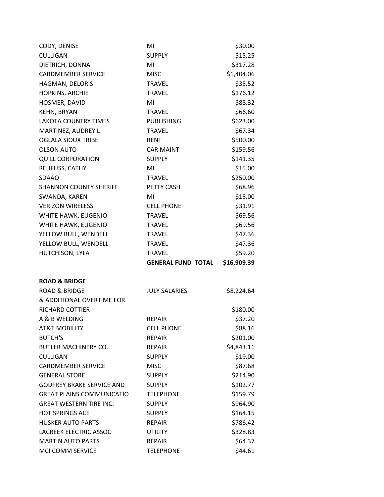| CODY, DENISE                     | MI                        | \$30.00     |
|----------------------------------|---------------------------|-------------|
| <b>CULLIGAN</b>                  | <b>SUPPLY</b>             | \$15.25     |
| DIETRICH, DONNA                  | MI                        | \$317.28    |
| <b>CARDMEMBER SERVICE</b>        | <b>MISC</b>               | \$1,404.06  |
| HAGMAN, DELORIS                  | <b>TRAVEL</b>             | \$35.52     |
| HOPKINS, ARCHIE                  | <b>TRAVEL</b>             | \$176.12    |
| HOSMER, DAVID                    | MI                        | \$88.32     |
| <b>KEHN, BRYAN</b>               | <b>TRAVEL</b>             | \$66.60     |
| <b>LAKOTA COUNTRY TIMES</b>      | <b>PUBLISHING</b>         | \$623.00    |
| MARTINEZ, AUDREY L               | <b>TRAVEL</b>             | \$67.34     |
| <b>OGLALA SIOUX TRIBE</b>        | <b>RENT</b>               | \$500.00    |
| <b>OLSON AUTO</b>                | <b>CAR MAINT</b>          | \$159.56    |
| <b>QUILL CORPORATION</b>         | <b>SUPPLY</b>             | \$141.35    |
| REHFUSS, CATHY                   | MI                        | \$15.00     |
| <b>SDAAO</b>                     | <b>TRAVEL</b>             | \$250.00    |
| <b>SHANNON COUNTY SHERIFF</b>    | PETTY CASH                | \$68.96     |
| SWANDA, KAREN                    | MI                        | \$15.00     |
| <b>VERIZON WIRELESS</b>          | <b>CELL PHONE</b>         | \$31.91     |
| WHITE HAWK, EUGENIO              | <b>TRAVEL</b>             | \$69.56     |
| WHITE HAWK, EUGENIO              | <b>TRAVEL</b>             | \$69.56     |
| YELLOW BULL, WENDELL             | <b>TRAVEL</b>             | \$47.36     |
| YELLOW BULL, WENDELL             | <b>TRAVEL</b>             | \$47.36     |
| HUTCHISON, LYLA                  | <b>TRAVEL</b>             | \$59.20     |
|                                  | <b>GENERAL FUND TOTAL</b> | \$16,909.39 |
| <b>ROAD &amp; BRIDGE</b>         |                           |             |
| <b>ROAD &amp; BRIDGE</b>         | <b>JULY SALARIES</b>      | \$8,224.64  |
| & ADDITIONAL OVERTIME FOR        |                           |             |
| <b>RICHARD COTTIER</b>           |                           | \$180.00    |
| A & B WELDING                    | <b>REPAIR</b>             | \$37.20     |
| <b>AT&amp;T MOBILITY</b>         | <b>CELL PHONE</b>         | \$88.16     |
| <b>BUTCH'S</b>                   | <b>REPAIR</b>             | \$201.00    |
| <b>BUTLER MACHINERY CO.</b>      | <b>REPAIR</b>             | \$4,843.11  |
| <b>CULLIGAN</b>                  | <b>SUPPLY</b>             | \$19.00     |
| <b>CARDMEMBER SERVICE</b>        | <b>MISC</b>               | \$87.68     |
| <b>GENERAL STORE</b>             | <b>SUPPLY</b>             | \$214.90    |
| <b>GODFREY BRAKE SERVICE AND</b> | <b>SUPPLY</b>             | \$102.77    |
| <b>GREAT PLAINS COMMUNICATIO</b> | <b>TELEPHONE</b>          | \$159.79    |
| <b>GREAT WESTERN TIRE INC.</b>   | <b>SUPPLY</b>             | \$964.90    |
| <b>HOT SPRINGS ACE</b>           |                           | \$164.15    |
| <b>HUSKER AUTO PARTS</b>         | <b>SUPPLY</b>             |             |
|                                  | <b>REPAIR</b>             | \$786.42    |
| <b>LACREEK ELECTRIC ASSOC</b>    | <b>UTILITY</b>            | \$328.83    |
| <b>MARTIN AUTO PARTS</b>         | <b>REPAIR</b>             | \$64.37     |